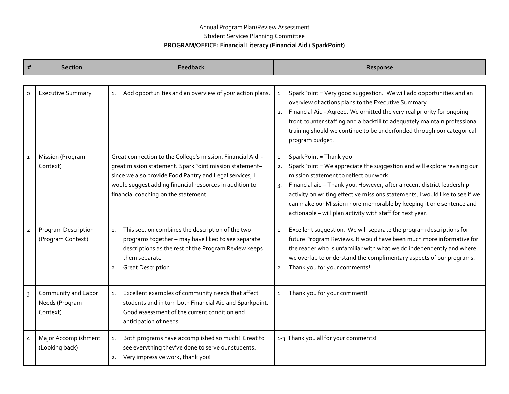## Annual Program Plan/Review Assessment Student Services Planning Committee **PROGRAM/OFFICE: Financial Literacy (Financial Aid / SparkPoint)**

| $\#$         | <b>Section</b>                                    | <b>Feedback</b>                                                                                                                                                                                                                                                                    | Response                                                                                                                                                                                                                                                                                                                                                                                                                                             |
|--------------|---------------------------------------------------|------------------------------------------------------------------------------------------------------------------------------------------------------------------------------------------------------------------------------------------------------------------------------------|------------------------------------------------------------------------------------------------------------------------------------------------------------------------------------------------------------------------------------------------------------------------------------------------------------------------------------------------------------------------------------------------------------------------------------------------------|
| o            | <b>Executive Summary</b>                          | Add opportunities and an overview of your action plans.<br>1.                                                                                                                                                                                                                      | SparkPoint = Very good suggestion. We will add opportunities and an<br>1.<br>overview of actions plans to the Executive Summary.<br>Financial Aid - Agreed. We omitted the very real priority for ongoing<br>2.<br>front counter staffing and a backfill to adequately maintain professional<br>training should we continue to be underfunded through our categorical<br>program budget.                                                             |
| $\mathbf{1}$ | Mission (Program<br>Context)                      | Great connection to the College's mission. Financial Aid -<br>great mission statement. SparkPoint mission statement-<br>since we also provide Food Pantry and Legal services, I<br>would suggest adding financial resources in addition to<br>financial coaching on the statement. | SparkPoint = Thank you<br>1.<br>SparkPoint = We appreciate the suggestion and will explore revising our<br>mission statement to reflect our work.<br>Financial aid - Thank you. However, after a recent district leadership<br>3.<br>activity on writing effective missions statements, I would like to see if we<br>can make our Mission more memorable by keeping it one sentence and<br>actionable - will plan activity with staff for next year. |
| $\mathbf{2}$ | Program Description<br>(Program Context)          | This section combines the description of the two<br>$\mathbf{1}$ .<br>programs together - may have liked to see separate<br>descriptions as the rest of the Program Review keeps<br>them separate<br><b>Great Description</b><br>2.                                                | Excellent suggestion. We will separate the program descriptions for<br>${\bf 1}.$<br>future Program Reviews. It would have been much more informative for<br>the reader who is unfamiliar with what we do independently and where<br>we overlap to understand the complimentary aspects of our programs.<br>Thank you for your comments!<br>2.                                                                                                       |
| $\mathsf{3}$ | Community and Labor<br>Needs (Program<br>Context) | Excellent examples of community needs that affect<br>1.<br>students and in turn both Financial Aid and Sparkpoint.<br>Good assessment of the current condition and<br>anticipation of needs                                                                                        | Thank you for your comment!<br>1.                                                                                                                                                                                                                                                                                                                                                                                                                    |
| 4            | Major Accomplishment<br>(Looking back)            | Both programs have accomplished so much! Great to<br>$\mathbf{1}$ .<br>see everything they've done to serve our students.<br>Very impressive work, thank you!<br>2.                                                                                                                | 1-3 Thank you all for your comments!                                                                                                                                                                                                                                                                                                                                                                                                                 |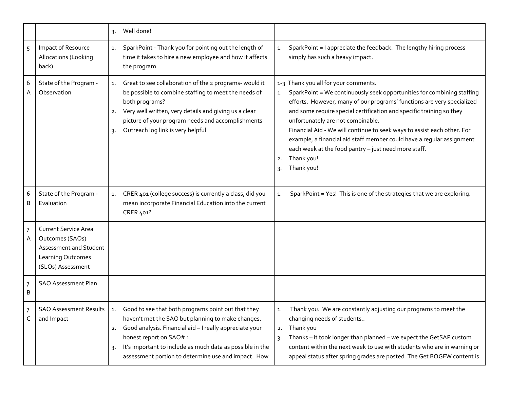|                     |                                                                                                                    | Well done!<br>3.             |                                                                                                                                                                                                                                                                                                                    |                            |                                                                                                                                                                                                                                                                                                                                                                                                                                                                                                                                               |
|---------------------|--------------------------------------------------------------------------------------------------------------------|------------------------------|--------------------------------------------------------------------------------------------------------------------------------------------------------------------------------------------------------------------------------------------------------------------------------------------------------------------|----------------------------|-----------------------------------------------------------------------------------------------------------------------------------------------------------------------------------------------------------------------------------------------------------------------------------------------------------------------------------------------------------------------------------------------------------------------------------------------------------------------------------------------------------------------------------------------|
| 5                   | Impact of Resource<br>Allocations (Looking<br>back)                                                                | 1.<br>the program            | SparkPoint - Thank you for pointing out the length of<br>time it takes to hire a new employee and how it affects                                                                                                                                                                                                   | 1.                         | SparkPoint = I appreciate the feedback. The lengthy hiring process<br>simply has such a heavy impact.                                                                                                                                                                                                                                                                                                                                                                                                                                         |
| 6<br>A              | State of the Program -<br>Observation                                                                              | 1.<br>2.<br>$\overline{3}$ . | Great to see collaboration of the 2 programs- would it<br>be possible to combine staffing to meet the needs of<br>both programs?<br>Very well written, very details and giving us a clear<br>picture of your program needs and accomplishments<br>Outreach log link is very helpful                                | 1.<br>2.<br>$\overline{3}$ | 1-3 Thank you all for your comments.<br>SparkPoint = We continuously seek opportunities for combining staffing<br>efforts. However, many of our programs' functions are very specialized<br>and some require special certification and specific training so they<br>unfortunately are not combinable.<br>Financial Aid - We will continue to seek ways to assist each other. For<br>example, a financial aid staff member could have a regular assignment<br>each week at the food pantry - just need more staff.<br>Thank you!<br>Thank you! |
| 6<br>B              | State of the Program -<br>Evaluation                                                                               | 1.<br>CRER 401?              | CRER 401 (college success) is currently a class, did you<br>mean incorporate Financial Education into the current                                                                                                                                                                                                  | 1.                         | SparkPoint = Yes! This is one of the strategies that we are exploring.                                                                                                                                                                                                                                                                                                                                                                                                                                                                        |
| $\overline{7}$<br>Α | <b>Current Service Area</b><br>Outcomes (SAOs)<br>Assessment and Student<br>Learning Outcomes<br>(SLOs) Assessment |                              |                                                                                                                                                                                                                                                                                                                    |                            |                                                                                                                                                                                                                                                                                                                                                                                                                                                                                                                                               |
| 7<br>Β              | <b>SAO Assessment Plan</b>                                                                                         |                              |                                                                                                                                                                                                                                                                                                                    |                            |                                                                                                                                                                                                                                                                                                                                                                                                                                                                                                                                               |
| $\overline{7}$<br>C | SAO Assessment Results   1.<br>and Impact                                                                          | 2.<br>3.                     | Good to see that both programs point out that they<br>haven't met the SAO but planning to make changes.<br>Good analysis. Financial aid - I really appreciate your<br>honest report on SAO# 1.<br>It's important to include as much data as possible in the<br>assessment portion to determine use and impact. How | 1.<br>2.                   | Thank you. We are constantly adjusting our programs to meet the<br>changing needs of students<br>Thank you<br>Thanks - it took longer than planned - we expect the GetSAP custom<br>content within the next week to use with students who are in warning or<br>appeal status after spring grades are posted. The Get BOGFW content is                                                                                                                                                                                                         |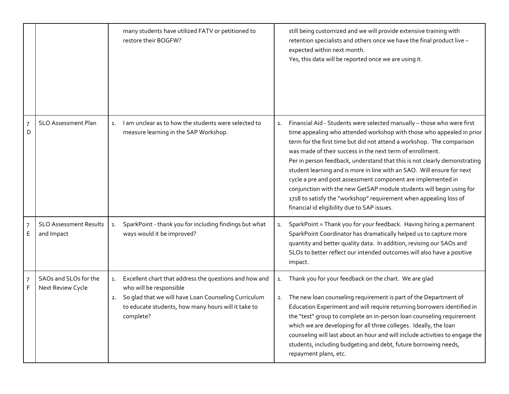|        |                                             | many students have utilized FATV or petitioned to<br>restore their BOGFW?                                                                                                                                                 |          | still being customized and we will provide extensive training with<br>retention specialists and others once we have the final product live -<br>expected within next month.<br>Yes, this data will be reported once we are using it.                                                                                                                                                                                                                                                                                                                                                                                                                                                                     |
|--------|---------------------------------------------|---------------------------------------------------------------------------------------------------------------------------------------------------------------------------------------------------------------------------|----------|----------------------------------------------------------------------------------------------------------------------------------------------------------------------------------------------------------------------------------------------------------------------------------------------------------------------------------------------------------------------------------------------------------------------------------------------------------------------------------------------------------------------------------------------------------------------------------------------------------------------------------------------------------------------------------------------------------|
| 7<br>D | <b>SLO Assessment Plan</b>                  | I am unclear as to how the students were selected to<br>1.<br>measure learning in the SAP Workshop.                                                                                                                       | 1.       | Financial Aid - Students were selected manually - those who were first<br>time appealing who attended workshop with those who appealed in prior<br>term for the first time but did not attend a workshop. The comparison<br>was made of their success in the next term of enrollment.<br>Per in person feedback, understand that this is not clearly demonstrating<br>student learning and is more in line with an SAO. Will ensure for next<br>cycle a pre and post assessment component are implemented in<br>conjunction with the new GetSAP module students will begin using for<br>1718 to satisfy the "workshop" requirement when appealing loss of<br>financial id eligibility due to SAP issues. |
| 7<br>Е | <b>SLO Assessment Results</b><br>and Impact | SparkPoint - thank you for including findings but what<br>1.<br>ways would it be improved?                                                                                                                                | 1.       | SparkPoint = Thank you for your feedback. Having hiring a permanent<br>SparkPoint Coordinator has dramatically helped us to capture more<br>quantity and better quality data. In addition, revising our SAOs and<br>SLOs to better reflect our intended outcomes will also have a positive<br>impact.                                                                                                                                                                                                                                                                                                                                                                                                    |
| 7<br>F | SAOs and SLOs for the<br>Next Review Cycle  | Excellent chart that address the questions and how and<br>1.<br>who will be responsible<br>So glad that we will have Loan Counseling Curriculum<br>2.<br>to educate students, how many hours will it take to<br>complete? | 1.<br>2. | Thank you for your feedback on the chart. We are glad<br>The new loan counseling requirement is part of the Department of<br>Education Experiment and will require returning borrowers identified in<br>the "test" group to complete an in-person loan counseling requirement<br>which we are developing for all three colleges. Ideally, the loan<br>counseling will last about an hour and will include activities to engage the<br>students, including budgeting and debt, future borrowing needs,<br>repayment plans, etc.                                                                                                                                                                           |